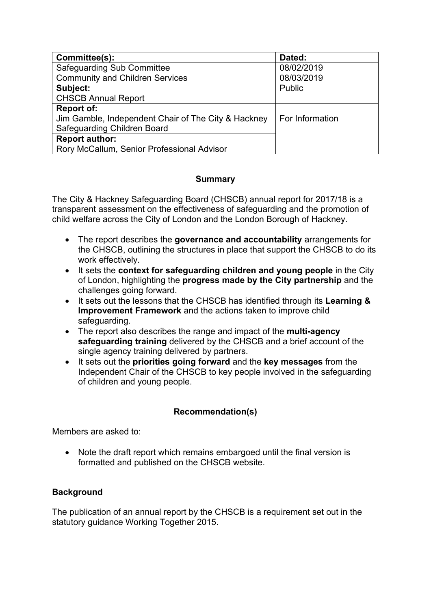| Committee(s):                                       | Dated:          |
|-----------------------------------------------------|-----------------|
| <b>Safeguarding Sub Committee</b>                   | 08/02/2019      |
| <b>Community and Children Services</b>              | 08/03/2019      |
| Subject:                                            | Public          |
| <b>CHSCB Annual Report</b>                          |                 |
| <b>Report of:</b>                                   |                 |
| Jim Gamble, Independent Chair of The City & Hackney | For Information |
| Safeguarding Children Board                         |                 |
| <b>Report author:</b>                               |                 |
| Rory McCallum, Senior Professional Advisor          |                 |

## **Summary**

The City & Hackney Safeguarding Board (CHSCB) annual report for 2017/18 is a transparent assessment on the effectiveness of safeguarding and the promotion of child welfare across the City of London and the London Borough of Hackney.

- The report describes the **governance and accountability** arrangements for the CHSCB, outlining the structures in place that support the CHSCB to do its work effectively.
- It sets the **context for safeguarding children and young people** in the City of London, highlighting the **progress made by the City partnership** and the challenges going forward.
- It sets out the lessons that the CHSCB has identified through its **Learning & Improvement Framework** and the actions taken to improve child safeguarding.
- The report also describes the range and impact of the **multi-agency safeguarding training** delivered by the CHSCB and a brief account of the single agency training delivered by partners.
- It sets out the **priorities going forward** and the **key messages** from the Independent Chair of the CHSCB to key people involved in the safeguarding of children and young people.

## **Recommendation(s)**

Members are asked to:

 Note the draft report which remains embargoed until the final version is formatted and published on the CHSCB website.

## **Background**

The publication of an annual report by the CHSCB is a requirement set out in the statutory guidance Working Together 2015.